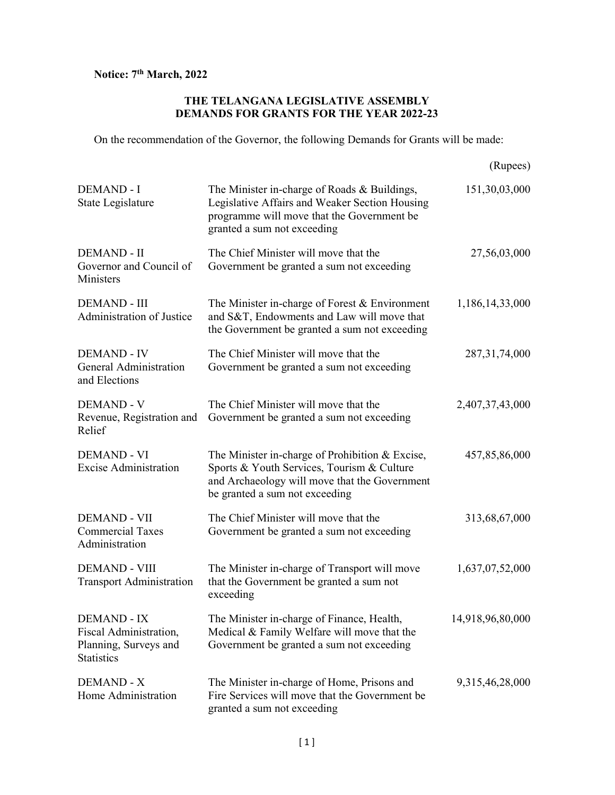## Notice: 7<sup>th</sup> March, 2022

## THE TELANGANA LEGISLATIVE ASSEMBLY DEMANDS FOR GRANTS FOR THE YEAR 2022-23

On the recommendation of the Governor, the following Demands for Grants will be made:

|                                                                                            |                                                                                                                                                                                  | (Rupees)         |
|--------------------------------------------------------------------------------------------|----------------------------------------------------------------------------------------------------------------------------------------------------------------------------------|------------------|
| <b>DEMAND - I</b><br>State Legislature                                                     | The Minister in-charge of Roads & Buildings,<br>Legislative Affairs and Weaker Section Housing<br>programme will move that the Government be<br>granted a sum not exceeding      | 151,30,03,000    |
| <b>DEMAND - II</b><br>Governor and Council of<br>Ministers                                 | The Chief Minister will move that the<br>Government be granted a sum not exceeding                                                                                               | 27,56,03,000     |
| <b>DEMAND - III</b><br><b>Administration of Justice</b>                                    | The Minister in-charge of Forest & Environment<br>and S&T, Endowments and Law will move that<br>the Government be granted a sum not exceeding                                    | 1,186,14,33,000  |
| <b>DEMAND - IV</b><br><b>General Administration</b><br>and Elections                       | The Chief Minister will move that the<br>Government be granted a sum not exceeding                                                                                               | 287, 31, 74, 000 |
| <b>DEMAND - V</b><br>Revenue, Registration and<br>Relief                                   | The Chief Minister will move that the<br>Government be granted a sum not exceeding                                                                                               | 2,407,37,43,000  |
| <b>DEMAND - VI</b><br><b>Excise Administration</b>                                         | The Minister in-charge of Prohibition & Excise,<br>Sports & Youth Services, Tourism & Culture<br>and Archaeology will move that the Government<br>be granted a sum not exceeding | 457,85,86,000    |
| <b>DEMAND - VII</b><br><b>Commercial Taxes</b><br>Administration                           | The Chief Minister will move that the<br>Government be granted a sum not exceeding                                                                                               | 313,68,67,000    |
| <b>DEMAND - VIII</b><br><b>Transport Administration</b>                                    | The Minister in-charge of Transport will move<br>that the Government be granted a sum not<br>exceeding                                                                           | 1,637,07,52,000  |
| <b>DEMAND - IX</b><br>Fiscal Administration,<br>Planning, Surveys and<br><b>Statistics</b> | The Minister in-charge of Finance, Health,<br>Medical & Family Welfare will move that the<br>Government be granted a sum not exceeding                                           | 14,918,96,80,000 |
| <b>DEMAND - X</b><br>Home Administration                                                   | The Minister in-charge of Home, Prisons and<br>Fire Services will move that the Government be<br>granted a sum not exceeding                                                     | 9,315,46,28,000  |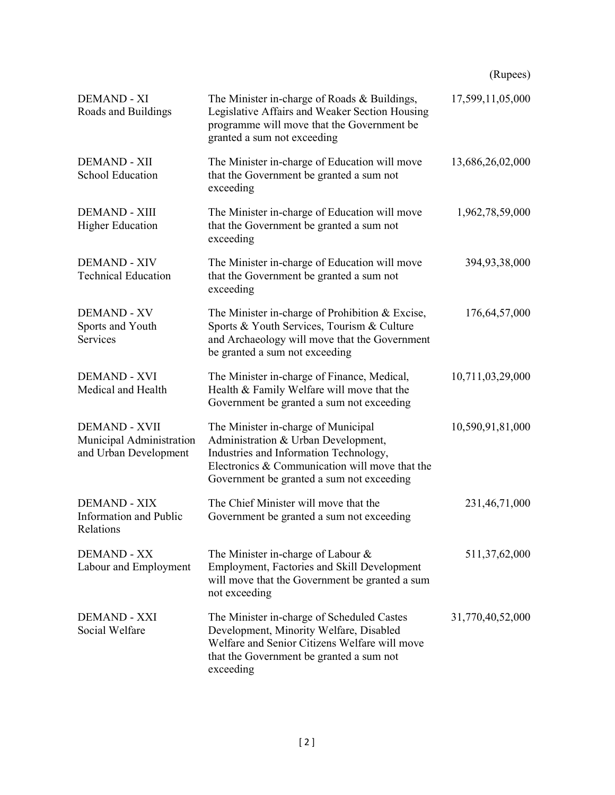|                                                                           |                                                                                                                                                                                                                     | (Rupees)         |
|---------------------------------------------------------------------------|---------------------------------------------------------------------------------------------------------------------------------------------------------------------------------------------------------------------|------------------|
| <b>DEMAND - XI</b><br>Roads and Buildings                                 | The Minister in-charge of Roads & Buildings,<br>Legislative Affairs and Weaker Section Housing<br>programme will move that the Government be<br>granted a sum not exceeding                                         | 17,599,11,05,000 |
| <b>DEMAND - XII</b><br><b>School Education</b>                            | The Minister in-charge of Education will move<br>that the Government be granted a sum not<br>exceeding                                                                                                              | 13,686,26,02,000 |
| <b>DEMAND - XIII</b><br><b>Higher Education</b>                           | The Minister in-charge of Education will move<br>that the Government be granted a sum not<br>exceeding                                                                                                              | 1,962,78,59,000  |
| <b>DEMAND - XIV</b><br><b>Technical Education</b>                         | The Minister in-charge of Education will move<br>that the Government be granted a sum not<br>exceeding                                                                                                              | 394,93,38,000    |
| <b>DEMAND - XV</b><br>Sports and Youth<br>Services                        | The Minister in-charge of Prohibition & Excise,<br>Sports & Youth Services, Tourism & Culture<br>and Archaeology will move that the Government<br>be granted a sum not exceeding                                    | 176,64,57,000    |
| <b>DEMAND - XVI</b><br>Medical and Health                                 | The Minister in-charge of Finance, Medical,<br>Health & Family Welfare will move that the<br>Government be granted a sum not exceeding                                                                              | 10,711,03,29,000 |
| <b>DEMAND - XVII</b><br>Municipal Administration<br>and Urban Development | The Minister in-charge of Municipal<br>Administration & Urban Development,<br>Industries and Information Technology,<br>Electronics & Communication will move that the<br>Government be granted a sum not exceeding | 10,590,91,81,000 |
| <b>DEMAND - XIX</b><br>Information and Public<br>Relations                | The Chief Minister will move that the<br>Government be granted a sum not exceeding                                                                                                                                  | 231,46,71,000    |
| <b>DEMAND - XX</b><br>Labour and Employment                               | The Minister in-charge of Labour &<br>Employment, Factories and Skill Development<br>will move that the Government be granted a sum<br>not exceeding                                                                | 511,37,62,000    |
| <b>DEMAND - XXI</b><br>Social Welfare                                     | The Minister in-charge of Scheduled Castes<br>Development, Minority Welfare, Disabled<br>Welfare and Senior Citizens Welfare will move<br>that the Government be granted a sum not<br>exceeding                     | 31,770,40,52,000 |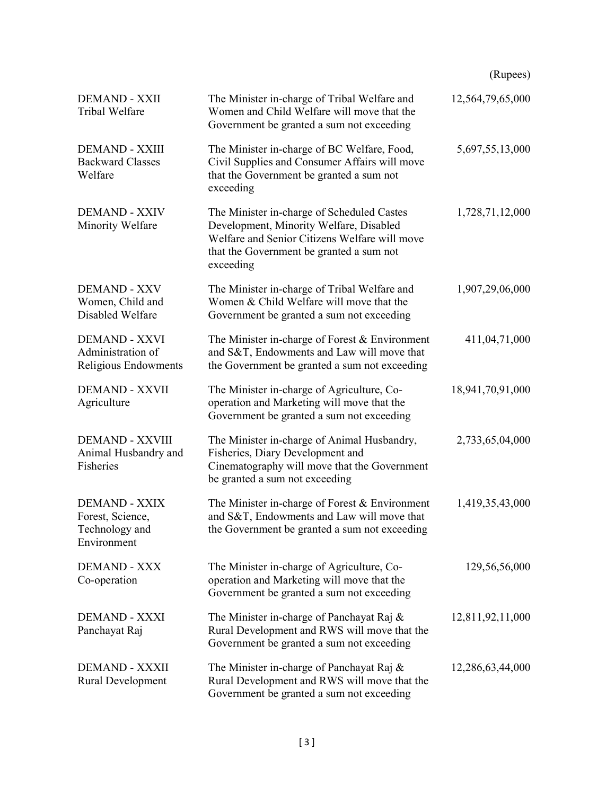|                                                                           |                                                                                                                                                                                                 | (Rupees)         |
|---------------------------------------------------------------------------|-------------------------------------------------------------------------------------------------------------------------------------------------------------------------------------------------|------------------|
| <b>DEMAND - XXII</b><br>Tribal Welfare                                    | The Minister in-charge of Tribal Welfare and<br>Women and Child Welfare will move that the<br>Government be granted a sum not exceeding                                                         | 12,564,79,65,000 |
| <b>DEMAND - XXIII</b><br><b>Backward Classes</b><br>Welfare               | The Minister in-charge of BC Welfare, Food,<br>Civil Supplies and Consumer Affairs will move<br>that the Government be granted a sum not<br>exceeding                                           | 5,697,55,13,000  |
| <b>DEMAND - XXIV</b><br>Minority Welfare                                  | The Minister in-charge of Scheduled Castes<br>Development, Minority Welfare, Disabled<br>Welfare and Senior Citizens Welfare will move<br>that the Government be granted a sum not<br>exceeding | 1,728,71,12,000  |
| <b>DEMAND - XXV</b><br>Women, Child and<br>Disabled Welfare               | The Minister in-charge of Tribal Welfare and<br>Women & Child Welfare will move that the<br>Government be granted a sum not exceeding                                                           | 1,907,29,06,000  |
| <b>DEMAND - XXVI</b><br>Administration of<br>Religious Endowments         | The Minister in-charge of Forest $& Environment$<br>and S&T, Endowments and Law will move that<br>the Government be granted a sum not exceeding                                                 | 411,04,71,000    |
| <b>DEMAND - XXVII</b><br>Agriculture                                      | The Minister in-charge of Agriculture, Co-<br>operation and Marketing will move that the<br>Government be granted a sum not exceeding                                                           | 18,941,70,91,000 |
| <b>DEMAND - XXVIII</b><br>Animal Husbandry and<br>Fisheries               | The Minister in-charge of Animal Husbandry,<br>Fisheries, Diary Development and<br>Cinematography will move that the Government<br>be granted a sum not exceeding                               | 2,733,65,04,000  |
| <b>DEMAND - XXIX</b><br>Forest, Science,<br>Technology and<br>Environment | The Minister in-charge of Forest & Environment<br>and S&T, Endowments and Law will move that<br>the Government be granted a sum not exceeding                                                   | 1,419,35,43,000  |
| <b>DEMAND - XXX</b><br>Co-operation                                       | The Minister in-charge of Agriculture, Co-<br>operation and Marketing will move that the<br>Government be granted a sum not exceeding                                                           | 129,56,56,000    |
| <b>DEMAND - XXXI</b><br>Panchayat Raj                                     | The Minister in-charge of Panchayat Raj &<br>Rural Development and RWS will move that the<br>Government be granted a sum not exceeding                                                          | 12,811,92,11,000 |
| <b>DEMAND - XXXII</b><br>Rural Development                                | The Minister in-charge of Panchayat Raj &<br>Rural Development and RWS will move that the<br>Government be granted a sum not exceeding                                                          | 12,286,63,44,000 |